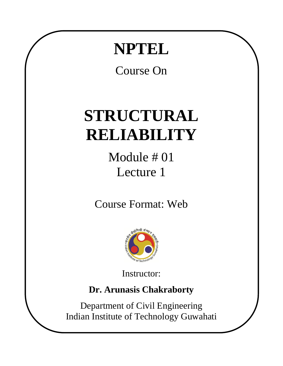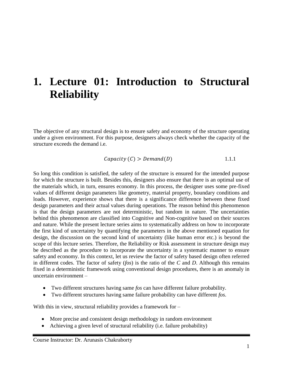## **1. Lecture 01: Introduction to Structural Reliability**

The objective of any structural design is to ensure safety and economy of the structure operating under a given environment. For this purpose, designers always check whether the capacity of the structure exceeds the demand i.e.

$$
Capacity (C) > Demoned (D)
$$
 1.1.1

So long this condition is satisfied, the safety of the structure is ensured for the intended purpose for which the structure is built. Besides this, designers also ensure that there is an optimal use of the materials which, in turn, ensures economy. In this process, the designer uses some pre-fixed values of different design parameters like geometry, material property, boundary conditions and loads. However, experience shows that there is a significance difference between these fixed design parameters and their actual values during operations. The reason behind this phenomenon is that the design parameters are not deterministic, but random in nature. The uncertainties behind this phenomenon are classified into Cognitive and Non-cognitive based on their sources and nature. While the present lecture series aims to systematically address on how to incorporate the first kind of uncertainty by quantifying the parameters in the above mentioned equation for design, the discussion on the second kind of uncertainty (like human error etc.) is beyond the scope of this lecture series. Therefore, the Reliability or Risk assessment in structure design may be described as the procedure to incorporate the uncertainty in a systematic manner to ensure safety and economy. In this context, let us review the factor of safety based design often referred in different codes. The factor of safety (*fos*) is the ratio of the *C* and *D*. Although this remains fixed in a deterministic framework using conventional design procedures, there is an anomaly in uncertain environment –

- Two different structures having same *fos* can have different failure probability.
- Two different structures having same failure probability can have different *fos*.

With this in view, structural reliability provides a framework for –

- More precise and consistent design methodology in random environment
- Achieving a given level of structural reliability (i.e. failure probability)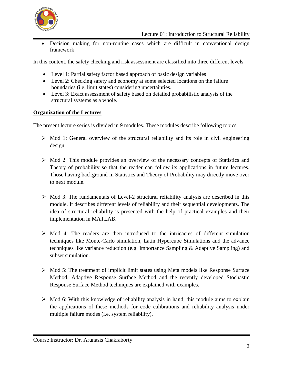

 Decision making for non-routine cases which are difficult in conventional design framework

In this context, the safety checking and risk assessment are classified into three different levels –

- Level 1: Partial safety factor based approach of basic design variables
- Level 2: Checking safety and economy at some selected locations on the failure boundaries (i.e. limit states) considering uncertainties.
- Level 3: Exact assessment of safety based on detailed probabilistic analysis of the structural systems as a whole.

## **Organization of the Lectures**

The present lecture series is divided in 9 modules. These modules describe following topics –

- $\triangleright$  Mod 1: General overview of the structural reliability and its role in civil engineering design.
- $\triangleright$  Mod 2: This module provides an overview of the necessary concepts of Statistics and Theory of probability so that the reader can follow its applications in future lectures. Those having background in Statistics and Theory of Probability may directly move over to next module.
- $\triangleright$  Mod 3: The fundamentals of Level-2 structural reliability analysis are described in this module. It describes different levels of reliability and their sequential developments. The idea of structural reliability is presented with the help of practical examples and their implementation in MATLAB.
- $\triangleright$  Mod 4: The readers are then introduced to the intricacies of different simulation techniques like Monte-Carlo simulation, Latin Hypercube Simulations and the advance techniques like variance reduction (e.g. Importance Sampling & Adaptive Sampling) and subset simulation.
- $\triangleright$  Mod 5: The treatment of implicit limit states using Meta models like Response Surface Method, Adaptive Response Surface Method and the recently developed Stochastic Response Surface Method techniques are explained with examples.
- $\triangleright$  Mod 6: With this knowledge of reliability analysis in hand, this module aims to explain the applications of these methods for code calibrations and reliability analysis under multiple failure modes (i.e. system reliability).